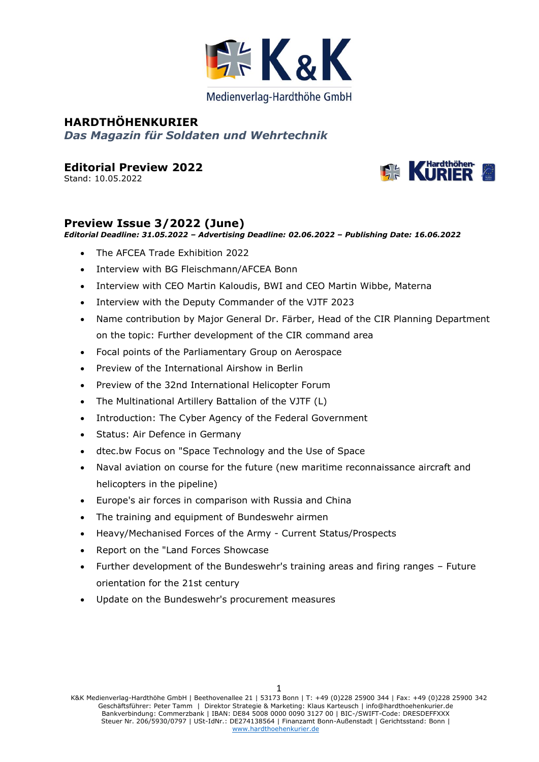

# **HARDTHÖHENKURIER**  *Das Magazin für Soldaten und Wehrtechnik*

**Editorial Preview 2022**

Stand: 10.05.2022



### **Preview Issue 3/2022 (June)**

*Editorial Deadline: 31.05.2022 – Advertising Deadline: 02.06.2022 – Publishing Date: 16.06.2022*

- The AFCEA Trade Exhibition 2022
- Interview with BG Fleischmann/AFCEA Bonn
- Interview with CEO Martin Kaloudis, BWI and CEO Martin Wibbe, Materna
- Interview with the Deputy Commander of the VJTF 2023
- Name contribution by Major General Dr. Färber, Head of the CIR Planning Department on the topic: Further development of the CIR command area
- Focal points of the Parliamentary Group on Aerospace
- Preview of the International Airshow in Berlin
- Preview of the 32nd International Helicopter Forum
- The Multinational Artillery Battalion of the VJTF (L)
- Introduction: The Cyber Agency of the Federal Government
- Status: Air Defence in Germany
- dtec.bw Focus on "Space Technology and the Use of Space
- Naval aviation on course for the future (new maritime reconnaissance aircraft and helicopters in the pipeline)
- Europe's air forces in comparison with Russia and China
- The training and equipment of Bundeswehr airmen
- Heavy/Mechanised Forces of the Army Current Status/Prospects
- Report on the "Land Forces Showcase
- Further development of the Bundeswehr's training areas and firing ranges Future orientation for the 21st century
- Update on the Bundeswehr's procurement measures

1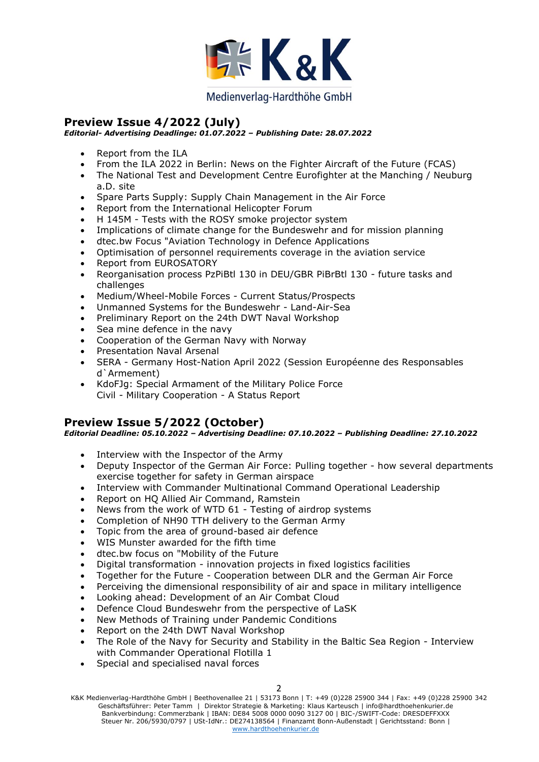

### **Preview Issue 4/2022 (July)**

#### *Editorial- Advertising Deadlinge: 01.07.2022 – Publishing Date: 28.07.2022*

- Report from the ILA
- From the ILA 2022 in Berlin: News on the Fighter Aircraft of the Future (FCAS)
- The National Test and Development Centre Eurofighter at the Manching / Neuburg a.D. site
- Spare Parts Supply: Supply Chain Management in the Air Force
- Report from the International Helicopter Forum
- H 145M Tests with the ROSY smoke projector system
- Implications of climate change for the Bundeswehr and for mission planning
- dtec.bw Focus "Aviation Technology in Defence Applications
- Optimisation of personnel requirements coverage in the aviation service
- Report from EUROSATORY
- Reorganisation process PzPiBtl 130 in DEU/GBR PiBrBtl 130 future tasks and challenges
- Medium/Wheel-Mobile Forces Current Status/Prospects
- Unmanned Systems for the Bundeswehr Land-Air-Sea
- Preliminary Report on the 24th DWT Naval Workshop
- Sea mine defence in the navy
- Cooperation of the German Navy with Norway
- Presentation Naval Arsenal
- SERA Germany Host-Nation April 2022 (Session Européenne des Responsables d`Armement)
- KdoFJg: Special Armament of the Military Police Force Civil - Military Cooperation - A Status Report

### **Preview Issue 5/2022 (October)**

*Editorial Deadline: 05.10.2022 – Advertising Deadline: 07.10.2022 – Publishing Deadline: 27.10.2022*

- Interview with the Inspector of the Army
- Deputy Inspector of the German Air Force: Pulling together how several departments exercise together for safety in German airspace
- Interview with Commander Multinational Command Operational Leadership
- Report on HQ Allied Air Command, Ramstein
- News from the work of WTD 61 Testing of airdrop systems
- Completion of NH90 TTH delivery to the German Army
- Topic from the area of ground-based air defence
- WIS Munster awarded for the fifth time
- dtec.bw focus on "Mobility of the Future
- Digital transformation innovation projects in fixed logistics facilities
- Together for the Future Cooperation between DLR and the German Air Force
- Perceiving the dimensional responsibility of air and space in military intelligence
- Looking ahead: Development of an Air Combat Cloud
- Defence Cloud Bundeswehr from the perspective of LaSK
- New Methods of Training under Pandemic Conditions
- Report on the 24th DWT Naval Workshop
- The Role of the Navy for Security and Stability in the Baltic Sea Region Interview with Commander Operational Flotilla 1
- Special and specialised naval forces

K&K Medienverlag-Hardthöhe GmbH | Beethovenallee 21 | 53173 Bonn | T: +49 (0)228 25900 344 | Fax: +49 (0)228 25900 342 Geschäftsführer: Peter Tamm | Direktor Strategie & Marketing: Klaus Karteusch | info@hardthoehenkurier.de Bankverbindung: Commerzbank | IBAN: DE84 5008 0000 0090 3127 00 | BIC-/SWIFT-Code: DRESDEFFXXX Steuer Nr. 206/5930/0797 | USt-IdNr.: DE274138564 | Finanzamt Bonn-Außenstadt | Gerichtsstand: Bonn | [www.hardthoehenkurier.de](http://www.hardthoehenkurier.de/)